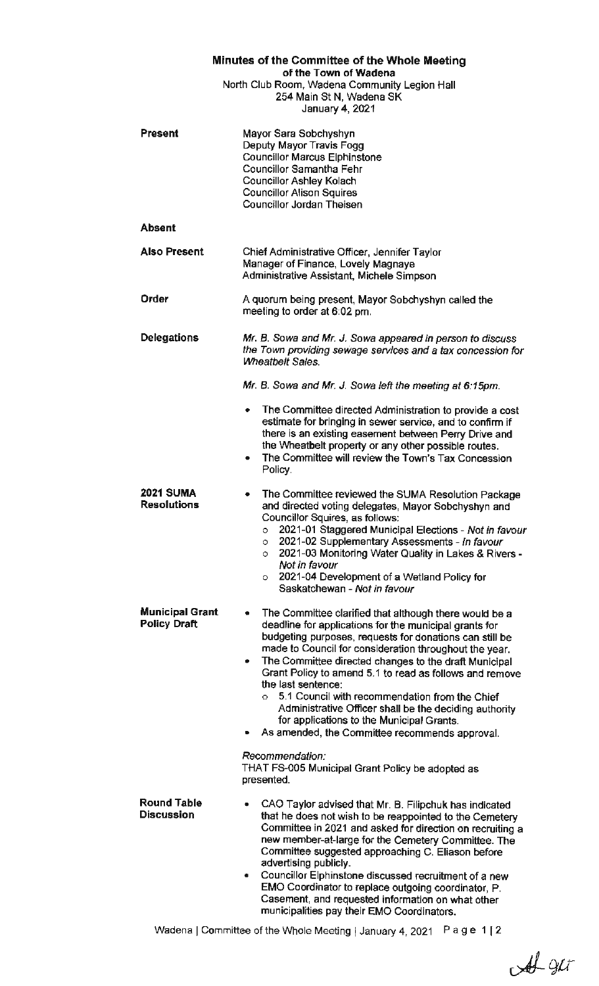| Minutes of the Committee of the Whole Meeting<br>of the Town of Wadena                       |                                                                                                                                                                                                                                                                                                                                                                                                                                                                                                                                                                                                                                                                                            |
|----------------------------------------------------------------------------------------------|--------------------------------------------------------------------------------------------------------------------------------------------------------------------------------------------------------------------------------------------------------------------------------------------------------------------------------------------------------------------------------------------------------------------------------------------------------------------------------------------------------------------------------------------------------------------------------------------------------------------------------------------------------------------------------------------|
| North Club Room, Wadena Community Legion Hall<br>254 Main St N, Wadena SK<br>January 4, 2021 |                                                                                                                                                                                                                                                                                                                                                                                                                                                                                                                                                                                                                                                                                            |
| <b>Present</b>                                                                               | Mayor Sara Sobchyshyn<br>Deputy Mayor Travis Fogg<br><b>Councillor Marcus Elphinstone</b><br><b>Councillor Samantha Fehr</b><br><b>Councillor Ashley Kolach</b><br><b>Councillor Alison Squires</b><br>Councillor Jordan Theisen                                                                                                                                                                                                                                                                                                                                                                                                                                                           |
| Absent                                                                                       |                                                                                                                                                                                                                                                                                                                                                                                                                                                                                                                                                                                                                                                                                            |
| <b>Also Present</b>                                                                          | Chief Administrative Officer, Jennifer Taylor<br>Manager of Finance, Lovely Magnaye<br>Administrative Assistant, Michele Simpson                                                                                                                                                                                                                                                                                                                                                                                                                                                                                                                                                           |
| Order                                                                                        | A quorum being present, Mayor Sobchyshyn called the<br>meeting to order at 6:02 pm.                                                                                                                                                                                                                                                                                                                                                                                                                                                                                                                                                                                                        |
| Delegations                                                                                  | Mr. B. Sowa and Mr. J. Sowa appeared in person to discuss<br>the Town providing sewage services and a tax concession for<br><b>Wheatbelt Sales.</b>                                                                                                                                                                                                                                                                                                                                                                                                                                                                                                                                        |
|                                                                                              | Mr. B. Sowa and Mr. J. Sowa left the meeting at 6:15pm.                                                                                                                                                                                                                                                                                                                                                                                                                                                                                                                                                                                                                                    |
|                                                                                              | The Committee directed Administration to provide a cost<br>۰<br>estimate for bringing in sewer service, and to confirm if<br>there is an existing easement between Perry Drive and<br>the Wheatbelt property or any other possible routes.<br>The Committee will review the Town's Tax Concession<br>٠<br>Policy.                                                                                                                                                                                                                                                                                                                                                                          |
| <b>2021 SUMA</b><br><b>Resolutions</b>                                                       | The Committee reviewed the SUMA Resolution Package<br>٠<br>and directed voting delegates, Mayor Sobchyshyn and<br>Councillor Squires, as follows:<br>2021-01 Staggered Municipal Elections - Not in favour<br>$\circ$<br>2021-02 Supplementary Assessments - In favour<br>$\circ$<br>2021-03 Monitoring Water Quality in Lakes & Rivers -<br>$\circ$<br>Not in favour<br>2021-04 Development of a Wetland Policy for<br>O<br>Saskatchewan - Not in favour                                                                                                                                                                                                                                  |
| <b>Municipal Grant</b><br><b>Policy Draft</b>                                                | The Committee clarified that although there would be a<br>٠<br>deadline for applications for the municipal grants for<br>budgeting purposes, requests for donations can still be<br>made to Council for consideration throughout the year.<br>The Committee directed changes to the draft Municipal<br>Grant Policy to amend 5.1 to read as follows and remove<br>the last sentence:<br>5.1 Council with recommendation from the Chief<br>O.<br>Administrative Officer shall be the deciding authority<br>for applications to the Municipal Grants.<br>As amended, the Committee recommends approval.<br>Recommendation:<br>THAT FS-005 Municipal Grant Policy be adopted as<br>presented. |
| <b>Round Table</b><br><b>Discussion</b>                                                      | CAO Taylor advised that Mr. B. Filipchuk has indicated<br>that he does not wish to be reappointed to the Cemetery<br>Committee in 2021 and asked for direction on recruiting a<br>new member-at-large for the Cemetery Committee. The<br>Committee suggested approaching C. Eliason before<br>advertising publicly.<br>Councillor Elphinstone discussed recruitment of a new<br>٠<br>EMO Coordinator to replace outgoing coordinator, P.<br>Casement, and requested information on what other<br>municipalities pay their EMO Coordinators.                                                                                                                                                |

Wadena | Committee of the Whole Meeting | January 4, 2021 Page 1 | 2

 $44.91$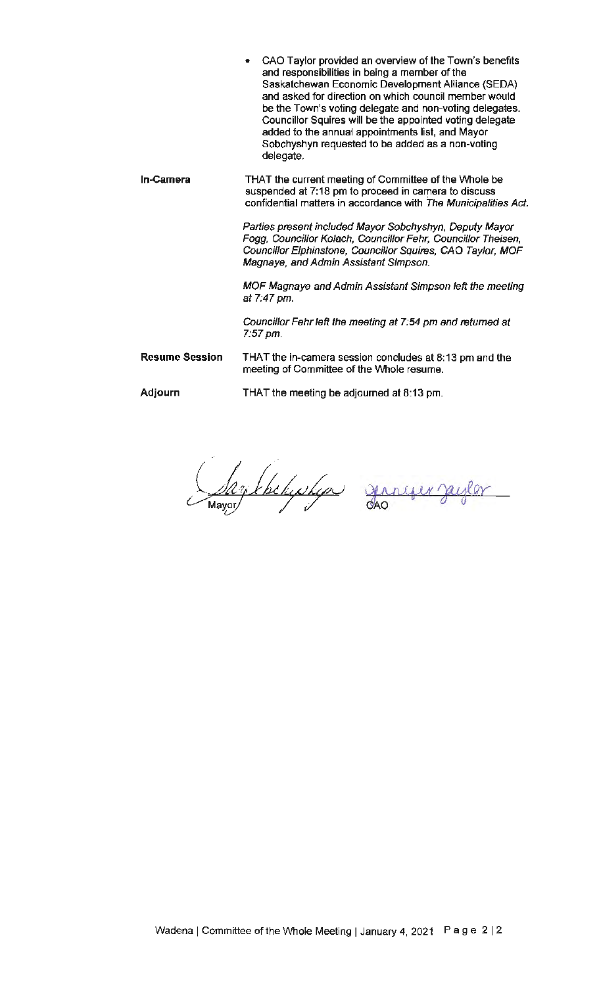**In-Camera Resume Session**  CAO Taylor provided an overview of the Town's benefits and responsibilities in being a member of the Saskatchewan Economic Development Alliance (SEDA) and asked for direction on which council member would be the Town's voting delegate and non-voting delegates. Councillor Squires will be the appointed voting delegate added to the annuat appointments list, and Mayor Sobchyshyn requested to be added as a non-voting delegate. THAT the current meeting of Committee of the Whole be suspended at 7:18 pm to proceed in camera to discuss confidential matters in accordance with The Municipalities Act. Parlies present included Mayor Sobchyshyn, Deputy Mayor Fogg, Councillor Kolach, Councillor Fehr, Councillor Theisen, Councillor Elphinstone, Councillor Squires, CAO Taylor, MOF Magnaye, and Admin Assistant Simpson. MOF Magnaye and Admin Assistant Simpson left the meeting *at* 7:47 pm. Councillor Fehr left the meeting at 7:54 pm and returned at 7:57 pm. THAT the in-camera session concludes at 8: 13 pm and the

**Adjourn**  THAT the meeting be adjourned at 8:13 pm.

meeting of Committee of the Whole resume.

lay khehushan